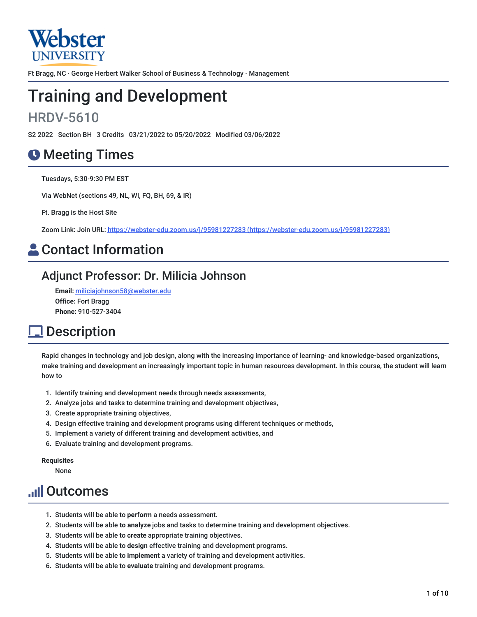

Ft Bragg, NC · George Herbert Walker School of Business & Technology · Management

# Training and Development

## HRDV-5610

S2 2022 Section BH 3 Credits 03/21/2022 to 05/20/2022 Modified 03/06/2022

## **O** Meeting Times

Tuesdays, 5:30-9:30 PM EST

Via WebNet (sections 49, NL, WI, FQ, BH, 69, & IR)

Ft. Bragg is the Host Site

Zoom Link: Join URL: https://webster-edu.zoom.us/j/95981227283 [\(https://webster-edu.zoom.us/j/95981227283\)](https://webster-edu.zoom.us/j/95981227283)

## **A** Contact Information

### Adjunct Professor: Dr. Milicia Johnson

**Email:** [miliciajohnson58@webster.edu](mailto:miliciajohnson58@webster.edu) **Office:** Fort Bragg **Phone:** 910-527-3404

## **<u>1</u>** Description

Rapid changes in technology and job design, along with the increasing importance of learning- and knowledge-based organizations, make training and development an increasingly important topic in human resources development. In this course, the student will learn how to

- 1. Identify training and development needs through needs assessments,
- 2. Analyze jobs and tasks to determine training and development objectives,
- 3. Create appropriate training objectives,
- 4. Design effective training and development programs using different techniques or methods,
- 5. Implement a variety of different training and development activities, and
- 6. Evaluate training and development programs.

**Requisites**

None

## **Juli Outcomes**

- 1. Students will be able to **perform** a needs assessment.
- 2. Students will be able **to analyze** jobs and tasks to determine training and development objectives.
- 3. Students will be able to **create** appropriate training objectives.
- 4. Students will be able to **design** effective training and development programs.
- 5. Students will be able to **implement** a variety of training and development activities.
- 6. Students will be able to **evaluate** training and development programs.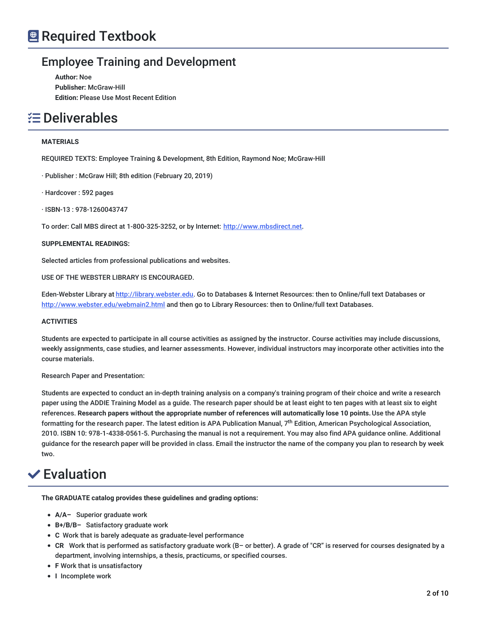### Employee Training and Development

**Author:** Noe **Publisher:** McGraw-Hill **Edition:** Please Use Most Recent Edition

## Deliverables

### **MATERIALS**

REQUIRED TEXTS: Employee Training & Development, 8th Edition, Raymond Noe; McGraw-Hill

· Publisher : McGraw Hill; 8th edition (February 20, 2019)

· Hardcover : 592 pages

· ISBN-13 : 978-1260043747

To order: Call MBS direct at 1-800-325-3252, or by Internet: [http://www.mbsdirect.net](http://www.mbsdirect.net/).

**SUPPLEMENTAL READINGS:**

Selected articles from professional publications and websites.

USE OF THE WEBSTER LIBRARY IS ENCOURAGED.

Eden-Webster Library at [http://library.webster.edu](http://library.webster.edu/). Go to Databases & Internet Resources: then to Online/full text Databases or <http://www.webster.edu/webmain2.html> and then go to Library Resources: then to Online/full text Databases.

### **ACTIVITIES**

Students are expected to participate in all course activities as assigned by the instructor. Course activities may include discussions, weekly assignments, case studies, and learner assessments. However, individual instructors may incorporate other activities into the course materials.

Research Paper and Presentation:

Students are expected to conduct an in-depth training analysis on a company's training program of their choice and write a research paper using the ADDIE Training Model as a guide. The research paper should be at least eight to ten pages with at least six to eight references. **Research papers without the appropriate number of references will automatically lose 10 points.**Use the APA style formatting for the research paper. The latest edition is APA Publication Manual, 7<sup>th</sup> Edition, American Psychological Association, 2010. ISBN 10: 978-1-4338-0561-5. Purchasing the manual is not a requirement. You may also find APA guidance online. Additional guidance for the research paper will be provided in class. Email the instructor the name of the company you plan to research by week two.

## **✓**Evaluation

**The GRADUATE catalog provides these guidelines and grading options:**

- **A/A–** Superior graduate work
- **B+/B/B–** Satisfactory graduate work
- **C** Work that is barely adequate as graduate-level performance
- **CR** Work that is performed as satisfactory graduate work (B– or better). A grade of "CR" is reserved for courses designated by a department, involving internships, a thesis, practicums, or specified courses.
- **F** Work that is unsatisfactory
- **•** I Incomplete work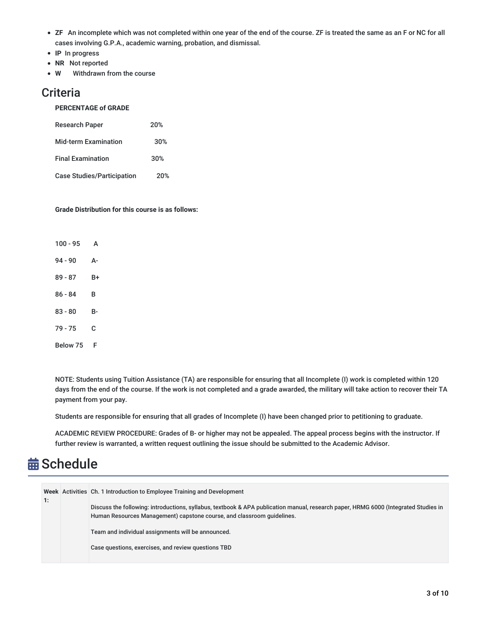- **ZF** An incomplete which was not completed within one year of the end of the course. ZF is treated the same as an F or NC for all cases involving G.P.A., academic warning, probation, and dismissal.
- **IP** In progress
- **NR** Not reported
- **W** Withdrawn from the course

### **Criteria**

### **PERCENTAGE of GRADE**

| <b>Research Paper</b>             | 20% |
|-----------------------------------|-----|
| <b>Mid-term Examination</b>       | 30% |
| <b>Final Examination</b>          | 30% |
| <b>Case Studies/Participation</b> | 20% |

### **Grade Distribution for this course is as follows:**

| $100 - 95$ | Α  |
|------------|----|
| 94 - 90    | А- |
| 89 - 87    | B+ |
| $86 - 84$  | в  |
| 83 - 80    | B- |
| 79 - 75    | С  |
| Below 75   | F  |

NOTE: Students using Tuition Assistance (TA) are responsible for ensuring that all Incomplete (I) work is completed within 120 days from the end of the course. If the work is not completed and a grade awarded, the military will take action to recover their TA payment from your pay.

Students are responsible for ensuring that all grades of Incomplete (I) have been changed prior to petitioning to graduate.

ACADEMIC REVIEW PROCEDURE: Grades of B- or higher may not be appealed. The appeal process begins with the instructor. If further review is warranted, a written request outlining the issue should be submitted to the Academic Advisor.

## **苗 Schedule**

|    | Week Activities Ch. 1 Introduction to Employee Training and Development                                                                                                                                       |
|----|---------------------------------------------------------------------------------------------------------------------------------------------------------------------------------------------------------------|
| 1: | Discuss the following: introductions, syllabus, textbook & APA publication manual, research paper, HRMG 6000 (Integrated Studies in<br>Human Resources Management) capstone course, and classroom guidelines. |
|    | Team and individual assignments will be announced.                                                                                                                                                            |
|    | Case questions, exercises, and review questions TBD                                                                                                                                                           |
|    |                                                                                                                                                                                                               |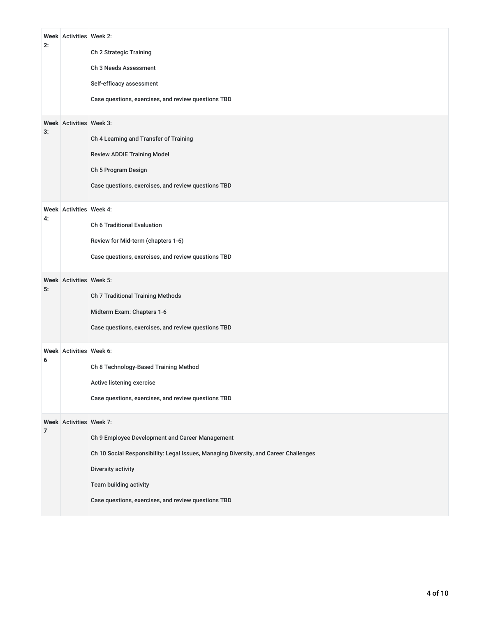| 2:<br>3:       | Week Activities Week 2:<br>Week Activities Week 3: | Ch 2 Strategic Training<br>Ch 3 Needs Assessment<br>Self-efficacy assessment<br>Case questions, exercises, and review questions TBD<br>Ch 4 Learning and Transfer of Training<br><b>Review ADDIE Training Model</b><br>Ch 5 Program Design<br>Case questions, exercises, and review questions TBD |
|----------------|----------------------------------------------------|---------------------------------------------------------------------------------------------------------------------------------------------------------------------------------------------------------------------------------------------------------------------------------------------------|
| 4:             | Week Activities Week 4:                            | <b>Ch 6 Traditional Evaluation</b><br>Review for Mid-term (chapters 1-6)<br>Case questions, exercises, and review questions TBD                                                                                                                                                                   |
| 5:             | Week Activities Week 5:                            | Ch 7 Traditional Training Methods<br>Midterm Exam: Chapters 1-6<br>Case questions, exercises, and review questions TBD                                                                                                                                                                            |
| 6              | Week Activities Week 6:                            | Ch 8 Technology-Based Training Method<br>Active listening exercise<br>Case questions, exercises, and review questions TBD                                                                                                                                                                         |
| $\overline{7}$ | Week Activities Week 7:                            | Ch 9 Employee Development and Career Management<br>Ch 10 Social Responsibility: Legal Issues, Managing Diversity, and Career Challenges<br>Diversity activity<br>Team building activity<br>Case questions, exercises, and review questions TBD                                                    |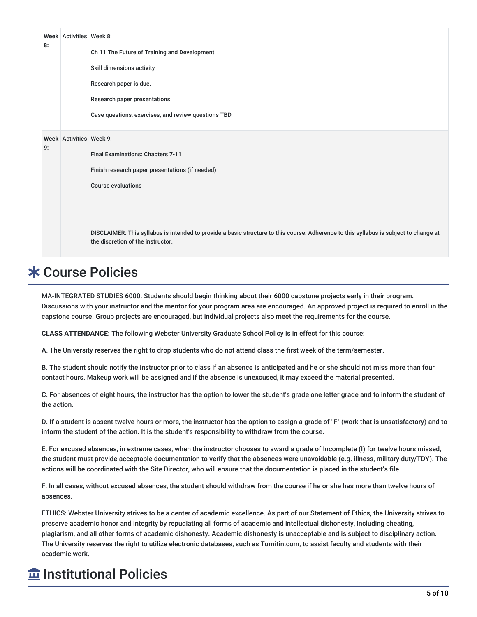|    | Week Activities Week 8: |                                                                                                                                       |
|----|-------------------------|---------------------------------------------------------------------------------------------------------------------------------------|
| 8: |                         | Ch 11 The Future of Training and Development                                                                                          |
|    |                         | Skill dimensions activity                                                                                                             |
|    |                         | Research paper is due.                                                                                                                |
|    |                         | Research paper presentations                                                                                                          |
|    |                         | Case questions, exercises, and review questions TBD                                                                                   |
|    |                         |                                                                                                                                       |
| 9: | Week Activities Week 9: |                                                                                                                                       |
|    |                         | Final Examinations: Chapters 7-11                                                                                                     |
|    |                         | Finish research paper presentations (if needed)                                                                                       |
|    |                         | <b>Course evaluations</b>                                                                                                             |
|    |                         |                                                                                                                                       |
|    |                         |                                                                                                                                       |
|    |                         | DISCLAIMER: This syllabus is intended to provide a basic structure to this course. Adherence to this syllabus is subject to change at |
|    |                         | the discretion of the instructor.                                                                                                     |

## **\* Course Policies**

MA-INTEGRATED STUDIES 6000: Students should begin thinking about their 6000 capstone projects early in their program. Discussions with your instructor and the mentor for your program area are encouraged. An approved project is required to enroll in the capstone course. Group projects are encouraged, but individual projects also meet the requirements for the course.

**CLASS ATTENDANCE:** The following Webster University Graduate School Policy is in effect for this course:

A. The University reserves the right to drop students who do not attend class the first week of the term/semester.

B. The student should notify the instructor prior to class if an absence is anticipated and he or she should not miss more than four contact hours. Makeup work will be assigned and if the absence is unexcused, it may exceed the material presented.

C. For absences of eight hours, the instructor has the option to lower the student's grade one letter grade and to inform the student of the action.

D. If a student is absent twelve hours or more, the instructor has the option to assign a grade of "F" (work that is unsatisfactory) and to inform the student of the action. It is the student's responsibility to withdraw from the course.

E. For excused absences, in extreme cases, when the instructor chooses to award a grade of Incomplete (I) for twelve hours missed, the student must provide acceptable documentation to verify that the absences were unavoidable (e.g. illness, military duty/TDY). The actions will be coordinated with the Site Director, who will ensure that the documentation is placed in the student's file.

F. In all cases, without excused absences, the student should withdraw from the course if he or she has more than twelve hours of absences.

ETHICS: Webster University strives to be a center of academic excellence. As part of our Statement of Ethics, the University strives to preserve academic honor and integrity by repudiating all forms of academic and intellectual dishonesty, including cheating, plagiarism, and all other forms of academic dishonesty. Academic dishonesty is unacceptable and is subject to disciplinary action. The University reserves the right to utilize electronic databases, such as Turnitin.com, to assist faculty and students with their academic work.

## $\overline{\text{m}}$  Institutional Policies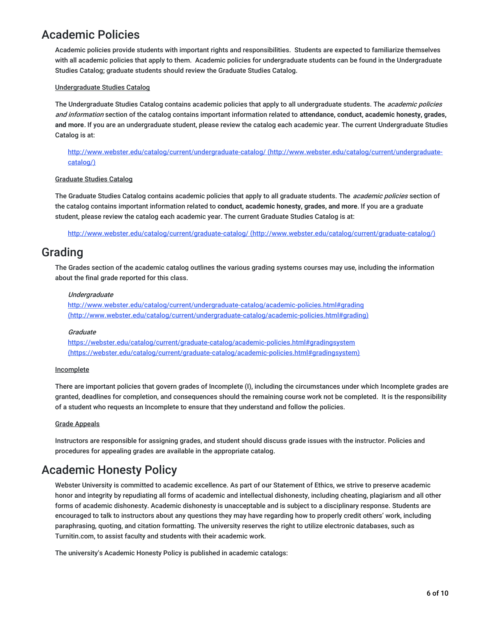### Academic Policies

Academic policies provide students with important rights and responsibilities. Students are expected to familiarize themselves with all academic policies that apply to them. Academic policies for undergraduate students can be found in the Undergraduate Studies Catalog; graduate students should review the Graduate Studies Catalog.

### Undergraduate Studies Catalog

The Undergraduate Studies Catalog contains academic policies that apply to all undergraduate students. The *academic policies* and information section of the catalog contains important information related to **attendance, conduct, academic honesty, grades, and more**. If you are an undergraduate student, please review the catalog each academic year. The current Undergraduate Studies Catalog is at:

<http://www.webster.edu/catalog/current/undergraduate-catalog/> (http://www.webster.edu/catalog/current/undergraduatecatalog/)

### Graduate Studies Catalog

The Graduate Studies Catalog contains academic policies that apply to all graduate students. The *academic policies* section of the catalog contains important information related to **conduct, academic honesty, grades, and more**. If you are a graduate student, please review the catalog each academic year. The current Graduate Studies Catalog is at:

http://www.webster.edu/catalog/current/graduate-catalog/ [\(http://www.webster.edu/catalog/current/graduate-catalog/\)](http://www.webster.edu/catalog/current/graduate-catalog/)

### Grading

The Grades section of the academic catalog outlines the various grading systems courses may use, including the information about the final grade reported for this class.

### Undergraduate

http://www.webster.edu/catalog/current/undergraduate-catalog/academic-policies.html#grading [\(http://www.webster.edu/catalog/current/undergraduate-catalog/academic-policies.html#grading\)](http://www.webster.edu/catalog/current/undergraduate-catalog/academic-policies.html#grading)

### **Graduate**

https://webster.edu/catalog/current/graduate-catalog/academic-policies.html#gradingsystem [\(https://webster.edu/catalog/current/graduate-catalog/academic-policies.html#gradingsystem\)](https://webster.edu/catalog/current/graduate-catalog/academic-policies.html#gradingsystem)

#### **Incomplete**

There are important policies that govern grades of Incomplete (I), including the circumstances under which Incomplete grades are granted, deadlines for completion, and consequences should the remaining course work not be completed. It is the responsibility of a student who requests an Incomplete to ensure that they understand and follow the policies.

#### Grade Appeals

Instructors are responsible for assigning grades, and student should discuss grade issues with the instructor. Policies and procedures for appealing grades are available in the appropriate catalog.

### Academic Honesty Policy

Webster University is committed to academic excellence. As part of our Statement of Ethics, we strive to preserve academic honor and integrity by repudiating all forms of academic and intellectual dishonesty, including cheating, plagiarism and all other forms of academic dishonesty. Academic dishonesty is unacceptable and is subject to a disciplinary response. Students are encouraged to talk to instructors about any questions they may have regarding how to properly credit others' work, including paraphrasing, quoting, and citation formatting. The university reserves the right to utilize electronic databases, such as Turnitin.com, to assist faculty and students with their academic work.

The university's Academic Honesty Policy is published in academic catalogs: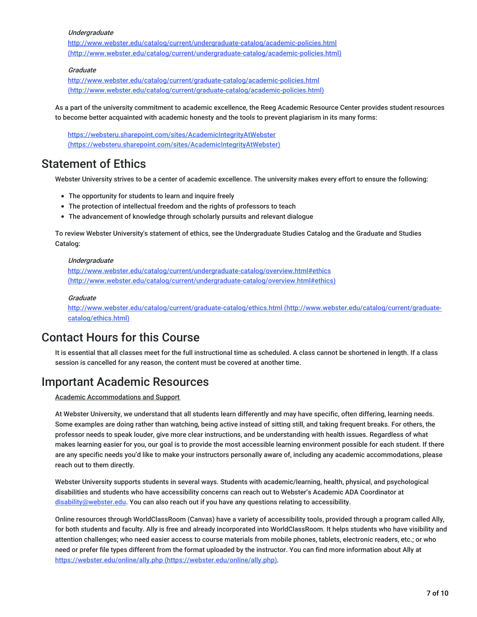#### **Undergraduate**

<http://www.webster.edu/catalog/current/undergraduate-catalog/academic-policies.html> (http://www.webster.edu/catalog/current/undergraduate-catalog/academic-policies.html)

### **Graduate**

http://www.webster.edu/catalog/current/graduate-catalog/academic-policies.html [\(http://www.webster.edu/catalog/current/graduate-catalog/academic-policies.html\)](http://www.webster.edu/catalog/current/graduate-catalog/academic-policies.html)

As a part of the university commitment to academic excellence, the Reeg Academic Resource Center provides student resources to become better acquainted with academic honesty and the tools to prevent plagiarism in its many forms:

<https://websteru.sharepoint.com/sites/AcademicIntegrityAtWebster> (https://websteru.sharepoint.com/sites/AcademicIntegrityAtWebster)

### Statement of Ethics

Webster University strives to be a center of academic excellence. The university makes every effort to ensure the following:

- The opportunity for students to learn and inquire freely
- The protection of intellectual freedom and the rights of professors to teach
- The advancement of knowledge through scholarly pursuits and relevant dialogue

To review Webster University's statement of ethics, see the Undergraduate Studies Catalog and the Graduate and Studies Catalog:

#### Undergraduate

<http://www.webster.edu/catalog/current/undergraduate-catalog/overview.html#ethics> (http://www.webster.edu/catalog/current/undergraduate-catalog/overview.html#ethics)

#### **Graduate**

<http://www.webster.edu/catalog/current/graduate-catalog/ethics.html> (http://www.webster.edu/catalog/current/graduatecatalog/ethics.html)

### Contact Hours for this Course

It is essential that all classes meet for the full instructional time as scheduled. A class cannot be shortened in length. If a class session is cancelled for any reason, the content must be covered at another time.

### Important Academic Resources

Academic Accommodations and Support

At Webster University, we understand that all students learn differently and may have specific, often differing, learning needs. Some examples are doing rather than watching, being active instead of sitting still, and taking frequent breaks. For others, the professor needs to speak louder, give more clear instructions, and be understanding with health issues. Regardless of what makes learning easier for you, our goal is to provide the most accessible learning environment possible for each student. If there are any specific needs you'd like to make your instructors personally aware of, including any academic accommodations, please reach out to them directly.

Webster University supports students in several ways. Students with academic/learning, health, physical, and psychological disabilities and students who have accessibility concerns can reach out to Webster's Academic ADA Coordinator at [disability@webster.edu](mailto:disability@webster.edu). You can also reach out if you have any questions relating to accessibility.

Online resources through WorldClassRoom (Canvas) have a variety of accessibility tools, provided through a program called Ally, for both students and faculty. Ally is free and already incorporated into WorldClassRoom. It helps students who have visibility and attention challenges; who need easier access to course materials from mobile phones, tablets, electronic readers, etc.; or who need or prefer file types different from the format uploaded by the instructor. You can find more information about Ally at https://webster.edu/online/ally.php [\(https://webster.edu/online/ally.php\)](https://webster.edu/online/ally.php).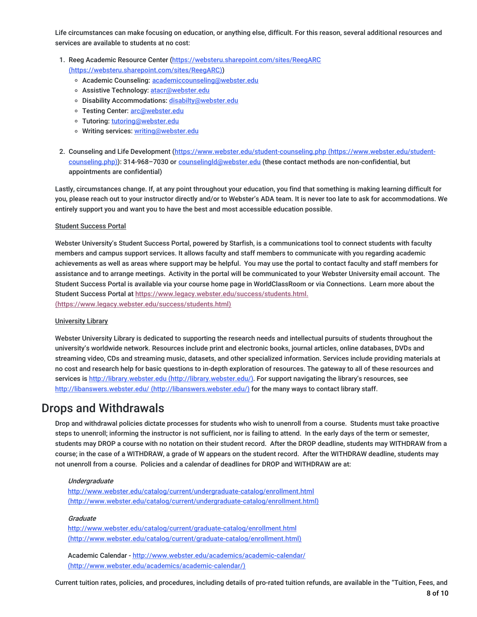Life circumstances can make focusing on education, or anything else, difficult. For this reason, several additional resources and services are available to students at no cost:

- 1. Reeg Academic Resource Center [\(https://websteru.sharepoint.com/sites/ReegARC](https://websteru.sharepoint.com/sites/ReegARC) (https://websteru.sharepoint.com/sites/ReegARC))
	- o Academic Counseling: [academiccounseling@webster.edu](mailto:academiccounseling@webster.edu)
	- o Assistive Technology: [atacr@webster.edu](mailto:atacr@webster.edu)
	- o Disability Accommodations: [disabilty@webster.edu](mailto:disabilty@webster.edu)
	- o Testing Center: [arc@webster.edu](mailto:arc@webster.edu)
	- Tutoring: [tutoring@webster.edu](mailto:tutoring@webster.edu)
	- o Writing services: [writing@webster.edu](mailto:writing@webster.edu)
- 2. Counseling and Life Development [\(https://www.webster.edu/student-counseling.php](https://www.webster.edu/student-counseling.php) (https://www.webster.edu/studentcounseling.php)): 314-968-7030 or [counselingld@webster.edu](mailto:counselingld@webster.edu) (these contact methods are non-confidential, but appointments are confidential)

Lastly, circumstances change. If, at any point throughout your education, you find that something is making learning difficult for you, please reach out to your instructor directly and/or to Webster's ADA team. It is never too late to ask for accommodations. We entirely support you and want you to have the best and most accessible education possible.

#### Student Success Portal

Webster University's Student Success Portal, powered by Starfish, is a communications tool to connect students with faculty members and campus support services. It allows faculty and staff members to communicate with you regarding academic achievements as well as areas where support may be helpful. You may use the portal to contact faculty and staff members for assistance and to arrange meetings. Activity in the portal will be communicated to your Webster University email account. The Student Success Portal is available via your course home page in WorldClassRoom or via Connections. Learn more about the Student Success Portal at [https://www.legacy.webster.edu/success/students.html.](https://www.legacy.webster.edu/success/students.html) (https://www.legacy.webster.edu/success/students.html)

#### University Library

Webster University Library is dedicated to supporting the research needs and intellectual pursuits of students throughout the university's worldwide network. Resources include print and electronic books, journal articles, online databases, DVDs and streaming video, CDs and streaming music, datasets, and other specialized information. Services include providing materials at no cost and research help for basic questions to in-depth exploration of resources. The gateway to all of these resources and services is http://library.webster.edu [\(http://library.webster.edu/\)](http://library.webster.edu/). For support navigating the library's resources, see http://libanswers.webster.edu/ [\(http://libanswers.webster.edu/\)](http://libanswers.webster.edu/) for the many ways to contact library staff.

### Drops and Withdrawals

Drop and withdrawal policies dictate processes for students who wish to unenroll from a course. Students must take proactive steps to unenroll; informing the instructor is not sufficient, nor is failing to attend. In the early days of the term or semester, students may DROP a course with no notation on their student record. After the DROP deadline, students may WITHDRAW from a course; in the case of a WITHDRAW, a grade of W appears on the student record. After the WITHDRAW deadline, students may not unenroll from a course. Policies and a calendar of deadlines for DROP and WITHDRAW are at:

#### **Undergraduate**

http://www.webster.edu/catalog/current/undergraduate-catalog/enrollment.html [\(http://www.webster.edu/catalog/current/undergraduate-catalog/enrollment.html\)](http://www.webster.edu/catalog/current/undergraduate-catalog/enrollment.html)

#### **Graduate**

<http://www.webster.edu/catalog/current/graduate-catalog/enrollment.html> (http://www.webster.edu/catalog/current/graduate-catalog/enrollment.html)

Academic Calendar - <http://www.webster.edu/academics/academic-calendar/> (http://www.webster.edu/academics/academic-calendar/)

Current tuition rates, policies, and procedures, including details of pro-rated tuition refunds, are available in the "Tuition, Fees, and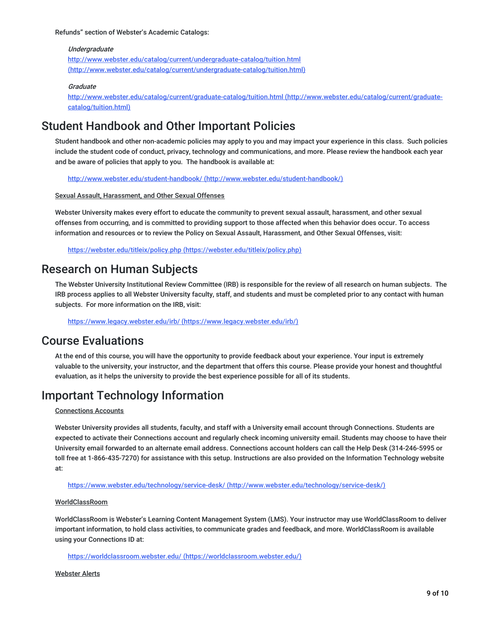Refunds" section of Webster's Academic Catalogs:

#### Undergraduate

<http://www.webster.edu/catalog/current/undergraduate-catalog/tuition.html> (http://www.webster.edu/catalog/current/undergraduate-catalog/tuition.html)

#### **Graduate**

<http://www.webster.edu/catalog/current/graduate-catalog/tuition.html> (http://www.webster.edu/catalog/current/graduatecatalog/tuition.html)

### Student Handbook and Other Important Policies

Student handbook and other non-academic policies may apply to you and may impact your experience in this class. Such policies include the student code of conduct, privacy, technology and communications, and more. Please review the handbook each year and be aware of policies that apply to you. The handbook is available at:

http://www.webster.edu/student-handbook/ [\(http://www.webster.edu/student-handbook/\)](http://www.webster.edu/student-handbook/)

Sexual Assault, Harassment, and Other Sexual Offenses

Webster University makes every effort to educate the community to prevent sexual assault, harassment, and other sexual offenses from occurring, and is committed to providing support to those affected when this behavior does occur. To access information and resources or to review the Policy on Sexual Assault, Harassment, and Other Sexual Offenses, visit:

https://webster.edu/titleix/policy.php [\(https://webster.edu/titleix/policy.php\)](https://webster.edu/titleix/policy.php)

### Research on Human Subjects

The Webster University Institutional Review Committee (IRB) is responsible for the review of all research on human subjects. The IRB process applies to all Webster University faculty, staff, and students and must be completed prior to any contact with human subjects. For more information on the IRB, visit:

https://www.legacy.webster.edu/irb/ [\(https://www.legacy.webster.edu/irb/\)](https://www.legacy.webster.edu/irb/)

### Course Evaluations

At the end of this course, you will have the opportunity to provide feedback about your experience. Your input is extremely valuable to the university, your instructor, and the department that offers this course. Please provide your honest and thoughtful evaluation, as it helps the university to provide the best experience possible for all of its students.

### Important Technology Information

#### Connections Accounts

Webster University provides all students, faculty, and staff with a University email account through Connections. Students are expected to activate their Connections account and regularly check incoming university email. Students may choose to have their University email forwarded to an alternate email address. Connections account holders can call the Help Desk (314-246-5995 or toll free at 1-866-435-7270) for assistance with this setup. Instructions are also provided on the Information Technology website at:

https://www.webster.edu/technology/service-desk/ [\(http://www.webster.edu/technology/service-desk/\)](http://www.webster.edu/technology/service-desk/)

#### WorldClassRoom

WorldClassRoom is Webster's Learning Content Management System (LMS). Your instructor may use WorldClassRoom to deliver important information, to hold class activities, to communicate grades and feedback, and more. WorldClassRoom is available using your Connections ID at:

https://worldclassroom.webster.edu/ [\(https://worldclassroom.webster.edu/\)](https://worldclassroom.webster.edu/)

Webster Alerts